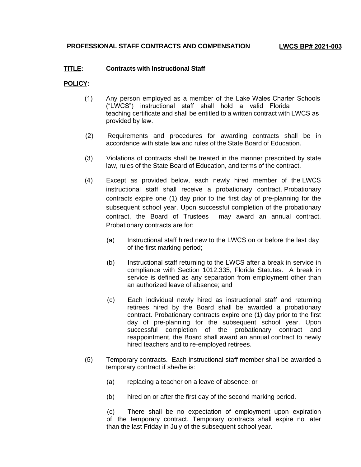## **TITLE: Contracts with Instructional Staff**

## **POLICY:**

- (1) Any person employed as a member of the Lake Wales Charter Schools ("LWCS") instructional staff shall hold a valid Florida teaching certificate and shall be entitled to a written contract with LWCS as provided by law.
- (2) Requirements and procedures for awarding contracts shall be in accordance with state law and rules of the State Board of Education.
- (3) Violations of contracts shall be treated in the manner prescribed by state law, rules of the State Board of Education, and terms of the contract.
- (4) Except as provided below, each newly hired member of the LWCS instructional staff shall receive a probationary contract. Probationary contracts expire one (1) day prior to the first day of pre-planning for the subsequent school year. Upon successful completion of the probationary contract, the Board of Trustees may award an annual contract. Probationary contracts are for:
	- (a) Instructional staff hired new to the LWCS on or before the last day of the first marking period;
	- (b) Instructional staff returning to the LWCS after a break in service in compliance with Section 1012.335, Florida Statutes. A break in service is defined as any separation from employment other than an authorized leave of absence; and
	- (c) Each individual newly hired as instructional staff and returning retirees hired by the Board shall be awarded a probationary contract. Probationary contracts expire one (1) day prior to the first day of pre-planning for the subsequent school year. Upon successful completion of the probationary contract and reappointment, the Board shall award an annual contract to newly hired teachers and to re-employed retirees.
- (5) Temporary contracts. Each instructional staff member shall be awarded a temporary contract if she/he is:
	- (a) replacing a teacher on a leave of absence; or
	- (b) hired on or after the first day of the second marking period.

(c) There shall be no expectation of employment upon expiration of the temporary contract. Temporary contracts shall expire no later than the last Friday in July of the subsequent school year.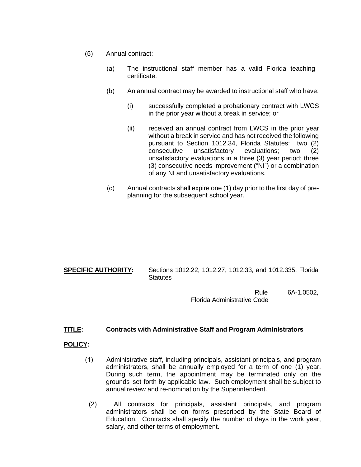- (5) Annual contract:
	- (a) The instructional staff member has a valid Florida teaching certificate.
	- (b) An annual contract may be awarded to instructional staff who have:
		- (i) successfully completed a probationary contract with LWCS in the prior year without a break in service; or
		- (ii) received an annual contract from LWCS in the prior year without a break in service and has not received the following pursuant to Section 1012.34, Florida Statutes: two (2) consecutive unsatisfactory evaluations; two (2) unsatisfactory evaluations in a three (3) year period; three (3) consecutive needs improvement ("NI") or a combination of any NI and unsatisfactory evaluations.
	- (c) Annual contracts shall expire one (1) day prior to the first day of preplanning for the subsequent school year.

**SPECIFIC AUTHORITY:** Sections 1012.22; 1012.27; 1012.33, and 1012.335, Florida **Statutes** 

> Rule 6A-1.0502, Florida Administrative Code

## **TITLE: Contracts with Administrative Staff and Program Administrators**

## **POLICY:**

- (1) Administrative staff, including principals, assistant principals, and program administrators, shall be annually employed for a term of one (1) year. During such term, the appointment may be terminated only on the grounds set forth by applicable law. Such employment shall be subject to annual review and re-nomination by the Superintendent.
	- (2) All contracts for principals, assistant principals, and program administrators shall be on forms prescribed by the State Board of Education. Contracts shall specify the number of days in the work year, salary, and other terms of employment.